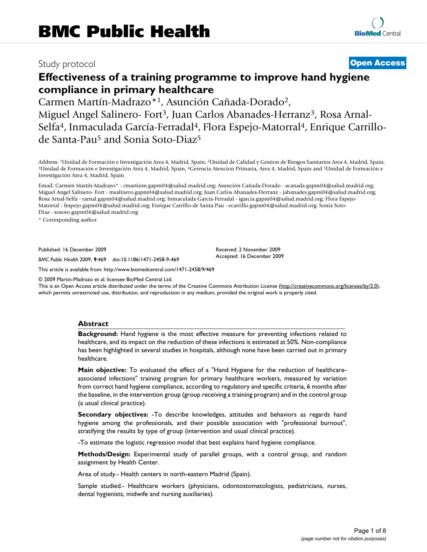# Study protocol **[Open Access](http://www.biomedcentral.com/info/about/charter/)**

# **Effectiveness of a training programme to improve hand hygiene compliance in primary healthcare**

Carmen Martín-Madrazo\*1, Asunción Cañada-Dorado2, Miguel Angel Salinero- Fort<sup>3</sup>, Juan Carlos Abanades-Herranz<sup>3</sup>, Rosa Arnal-Selfa4, Inmaculada García-Ferradal4, Flora Espejo-Matorral4, Enrique Carrillode Santa-Pau5 and Sonia Soto-Diaz5

Address: <sup>1</sup>Unidad de Formación e Investigación Area 4, Madrid, Spain, <sup>2</sup>Unidad de Calidad y Gestion de Riesgos Sanitarios Area 4, Madrid, Spain,<br><sup>3</sup>Unidad de Formación e Investigación Area 4, Madrid, Spain, <sup>4</sup>Gerencia A Investigación Area 4, Madrid, Spain

Email: Carmen Martín-Madrazo\* - cmartinm.gapm04@salud.madrid.org; Asunción Cañada-Dorado - acanada.gapm04@salud.madrid.org; Miguel Angel Salinero- Fort - msalinero.gapm04@salud.madrid.org; Juan Carlos Abanades-Herranz - jabanades.gapm04@salud.madrid.org; Rosa Arnal-Selfa - rarnal.gapm04@salud.madrid.org; Inmaculada García-Ferradal - igarcia.gapm04@salud.madrid.org; Flora Espejo-Matorral - fespejo.gapm04@salud.madrid.org; Enrique Carrillo-de Santa-Pau - ecarrillo.gapm04@salud.madrid.org; Sonia Soto-Diaz - sosoto.gapm04@salud.madrid.org

\* Corresponding author

Published: 16 December 2009

*BMC Public Health* 2009, **9**:469 doi:10.1186/1471-2458-9-469

[This article is available from: http://www.biomedcentral.com/1471-2458/9/469](http://www.biomedcentral.com/1471-2458/9/469)

© 2009 Martín-Madrazo et al; licensee BioMed Central Ltd.

This is an Open Access article distributed under the terms of the Creative Commons Attribution License [\(http://creativecommons.org/licenses/by/2.0\)](http://creativecommons.org/licenses/by/2.0), which permits unrestricted use, distribution, and reproduction in any medium, provided the original work is properly cited.

Received: 2 November 2009 Accepted: 16 December 2009

#### **Abstract**

**Background:** Hand hygiene is the most effective measure for preventing infections related to healthcare, and its impact on the reduction of these infections is estimated at 50%. Non-compliance has been highlighted in several studies in hospitals, although none have been carried out in primary healthcare.

**Main objective:** To evaluated the effect of a "Hand Hygiene for the reduction of healthcareassociated infections" training program for primary healthcare workers, measured by variation from correct hand hygiene compliance, according to regulatory and specific criteria, 6 months after the baseline, in the intervention group (group receiving a training program) and in the control group (a usual clinical practice).

**Secondary objectives:** -To describe knowledges, attitudes and behaviors as regards hand hygiene among the professionals, and their possible association with "professional burnout", stratifying the results by type of group (intervention and usual clinical practice).

-To estimate the logistic regression model that best explains hand hygiene compliance.

**Methods/Design:** Experimental study of parallel groups, with a control group, and random assignment by Health Center.

Area of study.- Health centers in north-eastern Madrid (Spain).

Sample studied.- Healthcare workers (physicians, odontostomatologists, pediatricians, nurses, dental hygienists, midwife and nursing auxiliaries).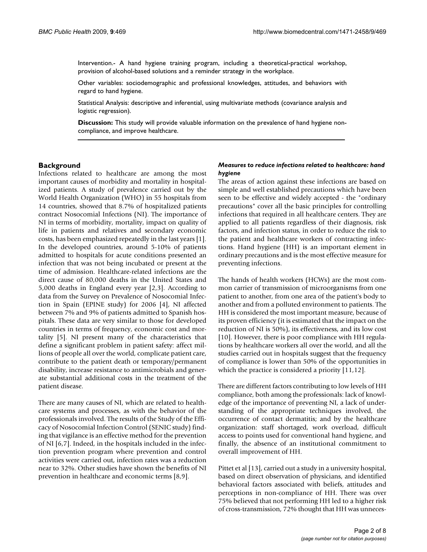Intervention.- A hand hygiene training program, including a theoretical-practical workshop, provision of alcohol-based solutions and a reminder strategy in the workplace.

Other variables: sociodemographic and professional knowledges, attitudes, and behaviors with regard to hand hygiene.

Statistical Analysis: descriptive and inferential, using multivariate methods (covariance analysis and logistic regression).

**Discussion:** This study will provide valuable information on the prevalence of hand hygiene noncompliance, and improve healthcare.

# **Background**

Infections related to healthcare are among the most important causes of morbidity and mortality in hospitalized patients. A study of prevalence carried out by the World Health Organization (WHO) in 55 hospitals from 14 countries, showed that 8.7% of hospitalized patients contract Nosocomial Infections (NI). The importance of NI in terms of morbidity, mortality, impact on quality of life in patients and relatives and secondary economic costs, has been emphasized repeatedly in the last years [1]. In the developed countries, around 5-10% of patients admitted to hospitals for acute conditions presented an infection that was not being incubated or present at the time of admission. Healthcare-related infections are the direct cause of 80,000 deaths in the United States and 5,000 deaths in England every year [2,3]. According to data from the Survey on Prevalence of Nosocomial Infection in Spain (EPINE study) for 2006 [4], NI affected between 7% and 9% of patients admitted to Spanish hospitals. These data are very similar to those for developed countries in terms of frequency, economic cost and mortality [5]. NI present many of the characteristics that define a significant problem in patient safety: affect millions of people all over the world, complicate patient care, contribute to the patient death or temporary/permanent disability, increase resistance to antimicrobials and generate substantial additional costs in the treatment of the patient disease.

There are many causes of NI, which are related to healthcare systems and processes, as with the behavior of the professionals involved. The results of the Study of the Efficacy of Nosocomial Infection Control (SENIC study) finding that vigilance is an effective method for the prevention of NI [6,7]. Indeed, in the hospitals included in the infection prevention program where prevention and control activities were carried out, infection rates was a reduction near to 32%. Other studies have shown the benefits of NI prevention in healthcare and economic terms [8,9].

# *Measures to reduce infections related to healthcare: hand hygiene*

The areas of action against these infections are based on simple and well established precautions which have been seen to be effective and widely accepted - the "ordinary precautions" cover all the basic principles for controlling infections that required in all healthcare centers. They are applied to all patients regardless of their diagnosis, risk factors, and infection status, in order to reduce the risk to the patient and healthcare workers of contracting infections. Hand hygiene (HH) is an important element in ordinary precautions and is the most effective measure for preventing infections.

The hands of health workers (HCWs) are the most common carrier of transmission of microorganisms from one patient to another, from one area of the patient's body to another and from a polluted environment to patients. The HH is considered the most important measure, because of its proven efficiency (it is estimated that the impact on the reduction of NI is 50%), its effectiveness, and its low cost [10]. However, there is poor compliance with HH regulations by healthcare workers all over the world, and all the studies carried out in hospitals suggest that the frequency of compliance is lower than 50% of the opportunities in which the practice is considered a priority [11,12].

There are different factors contributing to low levels of HH compliance, both among the professionals: lack of knowledge of the importance of preventing NI, a lack of understanding of the appropriate techniques involved, the occurrence of contact dermatitis; and by the healthcare organization: staff shortaged, work overload, difficult access to points used for conventional hand hygiene, and finally, the absence of an institutional commitment to overall improvement of HH.

Pittet et al [13], carried out a study in a university hospital, based on direct observation of physicians, and identified behavioral factors associated with beliefs, attitudes and perceptions in non-compliance of HH. There was over 75% believed that not performing HH led to a higher risk of cross-transmission, 72% thought that HH was unneces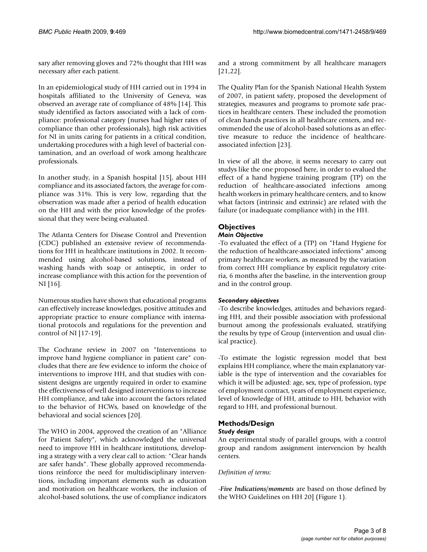sary after removing gloves and 72% thought that HH was necessary after each patient.

In an epidemiological study of HH carried out in 1994 in hospitals affiliated to the University of Geneva, was observed an average rate of compliance of 48% [14]. This study identified as factors associated with a lack of compliance: professional category (nurses had higher rates of compliance than other professionals), high risk activities for NI in units caring for patients in a critical condition, undertaking procedures with a high level of bacterial contamination, and an overload of work among healthcare professionals.

In another study, in a Spanish hospital [15], about HH compliance and its associated factors, the average for compliance was 31%. This is very low, regarding that the observation was made after a period of health education on the HH and with the prior knowledge of the professional that they were being evaluated.

The Atlanta Centers for Disease Control and Prevention (CDC) published an extensive review of recommendations for HH in healthcare institutions in 2002. It recommended using alcohol-based solutions, instead of washing hands with soap or antiseptic, in order to increase compliance with this action for the prevention of NI [16].

Numerous studies have shown that educational programs can effectively increase knowledges, positive attitudes and appropriate practice to ensure compliance with international protocols and regulations for the prevention and control of NI [17-19].

The Cochrane review in 2007 on "Interventions to improve hand hygiene compliance in patient care" concludes that there are few evidence to inform the choice of interventions to improve HH, and that studies with consistent designs are urgently required in order to examine the effectiveness of well designed interventions to increase HH compliance, and take into account the factors related to the behavior of HCWs, based on knowledge of the behavioral and social sciences [20].

The WHO in 2004, approved the creation of an "Alliance for Patient Safety", which acknowledged the universal need to improve HH in healthcare institutions, developing a strategy with a very clear call to action: "Clear hands are safer hands". These globally approved recommendations reinforce the need for multidisciplinary interventions, including important elements such as education and motivation on healthcare workers, the inclusion of alcohol-based solutions, the use of compliance indicators and a strong commitment by all healthcare managers [21,22].

The Quality Plan for the Spanish National Health System of 2007, in patient safety, proposed the development of strategies, measures and programs to promote safe practices in healthcare centers. These included the promotion of clean hands practices in all healthcare centers, and recommended the use of alcohol-based solutions as an effective measure to reduce the incidence of healthcareassociated infection [23].

In view of all the above, it seems necesary to carry out studys like the one proposed here, in order to evalued the effect of a hand hygiene training program (TP) on the reduction of healthcare-associated infections among health workers in primary healthcare centers, and to know what factors (intrinsic and extrinsic) are related with the failure (or inadequate compliance with) in the HH.

# **Objectives**

### *Main Objective*

-To evaluated the effect of a (TP) on "Hand Hygiene for the reduction of healthcare-associated infections" among primary healthcare workers, as measured by the variation from correct HH compliance by explicit regulatory criteria, 6 months after the baseline, in the intervention group and in the control group.

# *Secondary objectives*

-To describe knowledges, attitudes and behaviors regarding HH, and their possible association with professional burnout among the professionals evaluated, stratifying the results by type of Group (intervention and usual clinical practice).

-To estimate the logistic regression model that best explains HH compliance, where the main explanatory variable is the type of intervention and the covariables for which it will be adjusted: age, sex, type of profession, type of employment contract, years of employment experience, level of knowledge of HH, attitude to HH, behavior with regard to HH, and professional burnout.

# **Methods/Design**

# *Study design*

An experimental study of parallel groups, with a control group and random assignment intervencion by health centers.

# *Definition of terms:*

-*Five Indications/moments* are based on those defined by the WHO Guidelines on HH 20] (Figure 1).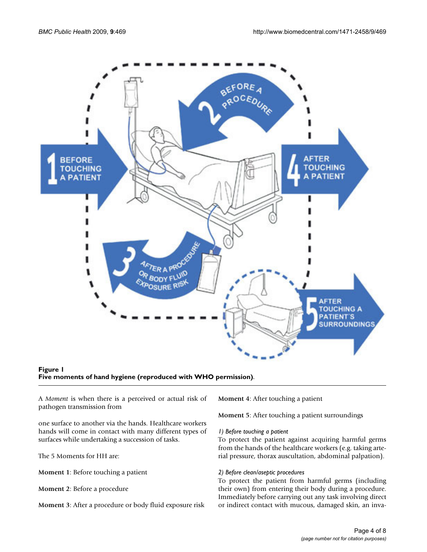

# Figure 1 **Five moments of hand hygiene (reproduced with WHO permission)**.

A *Moment* is when there is a perceived or actual risk of pathogen transmission from

one surface to another via the hands. Healthcare workers hands will come in contact with many different types of surfaces while undertaking a succession of tasks.

The 5 Moments for HH are:

**Moment 1**: Before touching a patient

**Moment 2**: Before a procedure

**Moment 3**: After a procedure or body fluid exposure risk

**Moment 4**: After touching a patient

**Moment 5**: After touching a patient surroundings

#### *1) Before touching a patient*

To protect the patient against acquiring harmful germs from the hands of the healthcare workers (e.g. taking arterial pressure, thorax auscultation, abdominal palpation).

# *2) Before clean/aseptic procedures*

To protect the patient from harmful germs (including their own) from entering their body during a procedure. Immediately before carrying out any task involving direct or indirect contact with mucous, damaged skin, an inva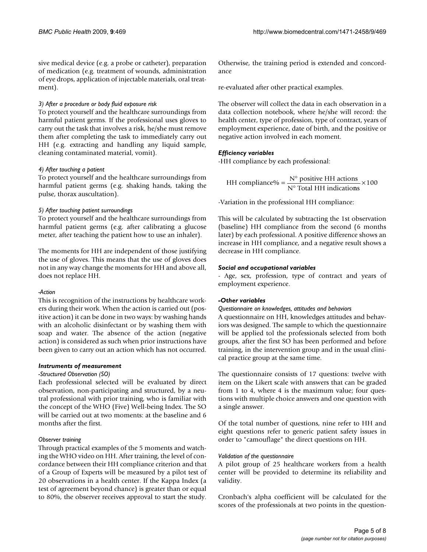sive medical device (e.g. a probe or catheter), preparation of medication (e.g. treatment of wounds, administration of eye drops, application of injectable materials, oral treatment).

# *3) After a procedure or body fluid exposure risk*

To protect yourself and the healthcare surroundings from harmful patient germs. If the professional uses gloves to carry out the task that involves a risk, he/she must remove them after completing the task to immediately carry out HH (e.g. extracting and handling any liquid sample, cleaning contaminated material, vomit).

### *4) After touching a patient*

To protect yourself and the healthcare surroundings from harmful patient germs (e.g. shaking hands, taking the pulse, thorax auscultation).

### *5) After touching patient surroundings*

To protect yourself and the healthcare surroundings from harmful patient germs (e.g. after calibrating a glucose meter, after teaching the patient how to use an inhaler).

The moments for HH are independent of those justifying the use of gloves. This means that the use of gloves does not in any way change the moments for HH and above all, does not replace HH.

#### *-Action*

This is recognition of the instructions by healthcare workers during their work. When the action is carried out (positive action) it can be done in two ways: by washing hands with an alcoholic disinfectant or by washing them with soap and water. The absence of the action (negative action) is considered as such when prior instructions have been given to carry out an action which has not occurred.

#### *Instruments of measurement*

#### *-Structured Observation (SO)*

Each professional selected will be evaluated by direct observation, non-participating and structured, by a neutral professional with prior training, who is familiar with the concept of the WHO (Five) Well-being Index. The SO will be carried out at two moments: at the baseline and 6 months after the first.

# *Observer training*

Through practical examples of the 5 moments and watching the WHO video on HH. After training, the level of concordance between their HH compliance criterion and that of a Group of Experts will be measured by a pilot test of 20 observations in a health center. If the Kappa Index (a test of agreement beyond chance) is greater than or equal to 80%, the observer receives approval to start the study. Otherwise, the training period is extended and concordance

re-evaluated after other practical examples.

The observer will collect the data in each observation in a data collection notebook, where he/she will record: the health center, type of profession, type of contract, years of employment experience, date of birth, and the positive or negative action involved in each moment.

# *Efficiency variables*

-HH compliance by each professional:

HH compliance% =  $\frac{N^{\circ}}{N^{\circ} \text{ Total HH } } \arctan \frac{N^{\circ}}{N^{\circ}}$  × 100

-Variation in the professional HH compliance:

This will be calculated by subtracting the 1st observation (baseline) HH compliance from the second (6 months later) by each professional. A positive difference shows an increase in HH compliance, and a negative result shows a decrease in HH compliance.

### *Social and occupational variables*

- Age, sex, profession, type of contract and years of employment experience.

# *-Other variables*

#### *Questionnaire on knowledges, attitudes and behaviors*

A questionnaire on HH, knowledges attitudes and behaviors was designed. The sample to which the questionnaire will be applied tol the professionals selected from both groups, after the first SO has been performed and before training, in the intervention group and in the usual clinical practice group at the same time.

The questionnaire consists of 17 questions: twelve with item on the Likert scale with answers that can be graded from 1 to 4, where 4 is the maximum value; four questions with multiple choice answers and one question with a single answer.

Of the total number of questions, nine refer to HH and eight questions refer to generic patient safety issues in order to "camouflage" the direct questions on HH.

#### *Validation of the questionnaire*

A pilot group of 25 healthcare workers from a health center will be provided to determine its reliability and validity.

Cronbach's alpha coefficient will be calculated for the scores of the professionals at two points in the question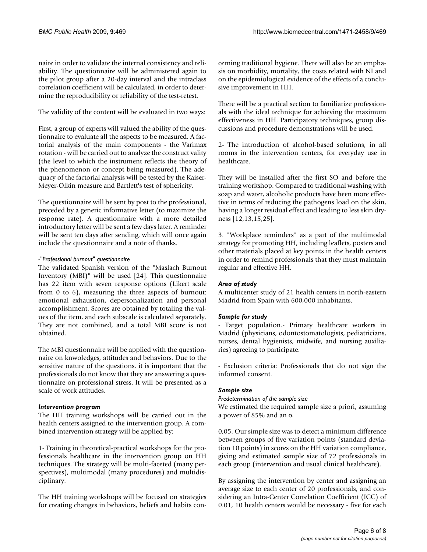naire in order to validate the internal consistency and reliability. The questionnaire will be administered again to the pilot group after a 20-day interval and the intraclass correlation coefficient will be calculated, in order to determine the reproducibility or reliability of the test-retest.

The validity of the content will be evaluated in two ways:

First, a group of experts will valued the ability of the questionnaire to evaluate all the aspects to be measured. A factorial analysis of the main components - the Varimax rotation - will be carried out to analyze the construct vality (the level to which the instrument reflects the theory of the phenomenon or concept being measured). The adequacy of the factorial analysis will be tested by the Kaiser-Meyer-Olkin measure and Bartlett's test of sphericity.

The questionnaire will be sent by post to the professional, preceded by a generic informative letter (to maximize the response rate). A questionnaire with a more detailed introductory letter will be sent a few days later. A reminder will be sent ten days after sending, which will once again include the questionnaire and a note of thanks.

# *-"Professional burnout" questionnaire*

The validated Spanish version of the "Maslach Burnout Inventory (MBI)" will be used [24]. This questionnaire has 22 item with seven response options (Likert scale from 0 to 6), measuring the three aspects of burnout: emotional exhaustion, depersonalization and personal accomplishment. Scores are obtained by totaling the values of the item, and each subscale is calculated separately. They are not combined, and a total MBI score is not obtained.

The MBI questionnaire will be applied with the questionnaire on knwoledges, attitudes and behaviors. Due to the sensitive nature of the questions, it is important that the professionals do not know that they are answering a questionnaire on professional stress. It will be presented as a scale of work attitudes.

# *Intervention program*

The HH training workshops will be carried out in the health centers assigned to the intervention group. A combined intervention strategy will be applied by:

1- Training in theoretical-practical workshops for the professionals healthcare in the intervention group on HH techniques. The strategy will be multi-faceted (many perspectives), multimodal (many procedures) and multidisciplinary.

The HH training workshops will be focused on strategies for creating changes in behaviors, beliefs and habits concerning traditional hygiene. There will also be an emphasis on morbidity, mortality, the costs related with NI and on the epidemiological evidence of the effects of a conclusive improvement in HH.

There will be a practical section to familiarize professionals with the ideal technique for achieving the maximum effectiveness in HH. Participatory techniques, group discussions and procedure demonstrations will be used.

2- The introduction of alcohol-based solutions, in all rooms in the intervention centers, for everyday use in healthcare.

They will be installed after the first SO and before the training workshop. Compared to traditional washing with soap and water, alcoholic products have been more effective in terms of reducing the pathogens load on the skin, having a longer residual effect and leading to less skin dryness [12,13,15,25].

3. "Workplace reminders" as a part of the multimodal strategy for promoting HH, including leaflets, posters and other materials placed at key points in the health centers in order to remind professionals that they must maintain regular and effective HH.

# *Area of study*

A multicenter study of 21 health centers in north-eastern Madrid from Spain with 600,000 inhabitants.

# *Sample for study*

- Target population.- Primary healthcare workers in Madrid (physicians, odontostomatologists, pediatricians, nurses, dental hygienists, midwife, and nursing auxiliaries) agreeing to participate.

- Exclusion criteria: Professionals that do not sign the informed consent.

# *Sample size*

#### *Predetermination of the sample size*

We estimated the required sample size a priori, assuming a power of 85% and an  $\alpha$ 

0,05. Our simple size was to detect a minimum difference between groups of five variation points (standard deviation 10 points) in scores on the HH variation compliance, giving and estimated sample size of 72 professionals in each group (intervention and usual clinical healthcare).

By assigning the intervention by center and assigning an average size to each center of 20 professionals, and considering an Intra-Center Correlation Coefficient (ICC) of 0.01, 10 health centers would be necessary - five for each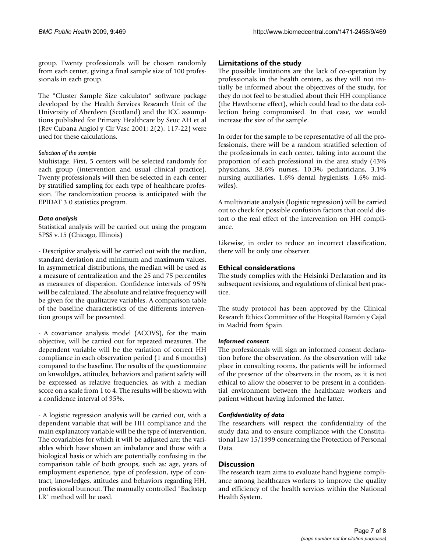group. Twenty professionals will be chosen randomly from each center, giving a final sample size of 100 professionals in each group.

The "Cluster Sample Size calculator" software package developed by the Health Services Research Unit of the University of Aberdeen (Scotland) and the ICC assumptions published for Primary Healthcare by Seuc AH et al (Rev Cubana Angiol y Cir Vasc 2001; 2(2): 117-22) were used for these calculations.

# *Selection of the sample*

Multistage. First, 5 centers will be selected randomly for each group (intervention and usual clinical practice). Twenty professionals will then be selected in each center by stratified sampling for each type of healthcare profession. The randomization process is anticipated with the EPIDAT 3.0 statistics program.

# *Data analysis*

Statistical analysis will be carried out using the program SPSS v.15 (Chicago, Illinois)

- Descriptive analysis will be carried out with the median, standard deviation and minimum and maximum values. In asymmetrical distributions, the median will be used as a measure of centralization and the 25 and 75 percentiles as measures of dispersion. Confidence intervals of 95% will be calculated. The absolute and relative frequency will be given for the qualitative variables. A comparison table of the baseline characteristics of the differents intervention groups will be presented.

- A covariance analysis model (ACOVS), for the main objective, will be carried out for repeated measures. The dependent variable will be the variation of correct HH compliance in each observation period (1 and 6 months) compared to the baseline. The results of the questionnaire on knwoldges, attitudes, behaviors and patient safety will be expressed as relative frequencies, as with a median score on a scale from 1 to 4. The results will be shown with a confidence interval of 95%.

- A logistic regression analysis will be carried out, with a dependent variable that will be HH compliance and the main explanatory variable will be the type of intervention. The covariables for which it will be adjusted are: the variables which have shown an imbalance and those with a biological basis or which are potentially confusing in the comparison table of both groups, such as: age, years of employment experience, type of profession, type of contract, knowledges, attitudes and behaviors regarding HH, professional burnout. The manually controlled "Backstep LR" method will be used.

# **Limitations of the study**

The possible limitations are the lack of co-operation by professionals in the health centers, as they will not initially be informed about the objectives of the study, for they do not feel to be studied about their HH compliance (the Hawthorne effect), which could lead to the data collection being compromised. In that case, we would increase the size of the sample.

In order for the sample to be representative of all the professionals, there will be a random stratified selection of the professionals in each center, taking into account the proportion of each professional in the area study (43% physicians, 38.6% nurses, 10.3% pediatricians, 3.1% nursing auxiliaries, 1.6% dental hygienists, 1.6% midwifes).

A multivariate analysis (logistic regression) will be carried out to check for possible confusion factors that could distort o the real effect of the intervention on HH compliance.

Likewise, in order to reduce an incorrect classification, there will be only one observer.

# **Ethical considerations**

The study complies with the Helsinki Declaration and its subsequent revisions, and regulations of clinical best practice.

The study protocol has been approved by the Clinical Research Ethics Committee of the Hospital Ramón y Cajal in Madrid from Spain.

# *Informed consent*

The professionals will sign an informed consent declaration before the observation. As the observation will take place in consulting rooms, the patients will be informed of the presence of the observers in the room, as it is not ethical to allow the observer to be present in a confidential environment between the healthcare workers and patient without having informed the latter.

# *Confidentiality of data*

The researchers will respect the confidentiality of the study data and to ensure compliance with the Constitutional Law 15/1999 concerning the Protection of Personal Data.

# **Discussion**

The research team aims to evaluate hand hygiene compliance among healthcares workers to improve the quality and efficiency of the health services within the National Health System.